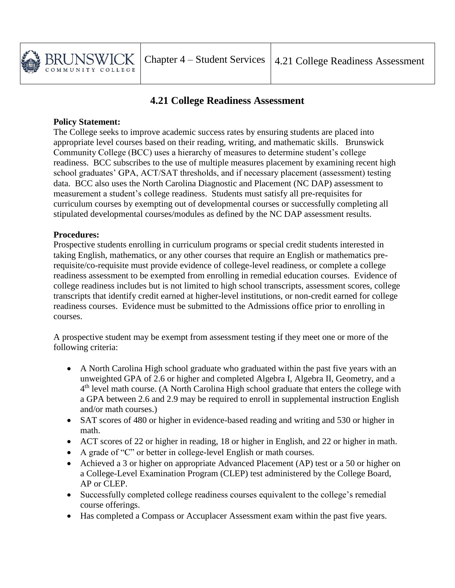

## **4.21 College Readiness Assessment**

## **Policy Statement:**

The College seeks to improve academic success rates by ensuring students are placed into appropriate level courses based on their reading, writing, and mathematic skills. Brunswick Community College (BCC) uses a hierarchy of measures to determine student's college readiness. BCC subscribes to the use of multiple measures placement by examining recent high school graduates' GPA, ACT/SAT thresholds, and if necessary placement (assessment) testing data. BCC also uses the North Carolina Diagnostic and Placement (NC DAP) assessment to measurement a student's college readiness. Students must satisfy all pre-requisites for curriculum courses by exempting out of developmental courses or successfully completing all stipulated developmental courses/modules as defined by the NC DAP assessment results.

## **Procedures:**

Prospective students enrolling in curriculum programs or special credit students interested in taking English, mathematics, or any other courses that require an English or mathematics prerequisite/co-requisite must provide evidence of college-level readiness, or complete a college readiness assessment to be exempted from enrolling in remedial education courses. Evidence of college readiness includes but is not limited to high school transcripts, assessment scores, college transcripts that identify credit earned at higher-level institutions, or non-credit earned for college readiness courses. Evidence must be submitted to the Admissions office prior to enrolling in courses.

A prospective student may be exempt from assessment testing if they meet one or more of the following criteria:

- A North Carolina High school graduate who graduated within the past five years with an unweighted GPA of 2.6 or higher and completed Algebra I, Algebra II, Geometry, and a 4<sup>th</sup> level math course. (A North Carolina High school graduate that enters the college with a GPA between 2.6 and 2.9 may be required to enroll in supplemental instruction English and/or math courses.)
- SAT scores of 480 or higher in evidence-based reading and writing and 530 or higher in math.
- ACT scores of 22 or higher in reading, 18 or higher in English, and 22 or higher in math.
- A grade of "C" or better in college-level English or math courses.
- Achieved a 3 or higher on appropriate Advanced Placement (AP) test or a 50 or higher on a College-Level Examination Program (CLEP) test administered by the College Board, AP or CLEP.
- Successfully completed college readiness courses equivalent to the college's remedial course offerings.
- Has completed a Compass or Accuplacer Assessment exam within the past five years.